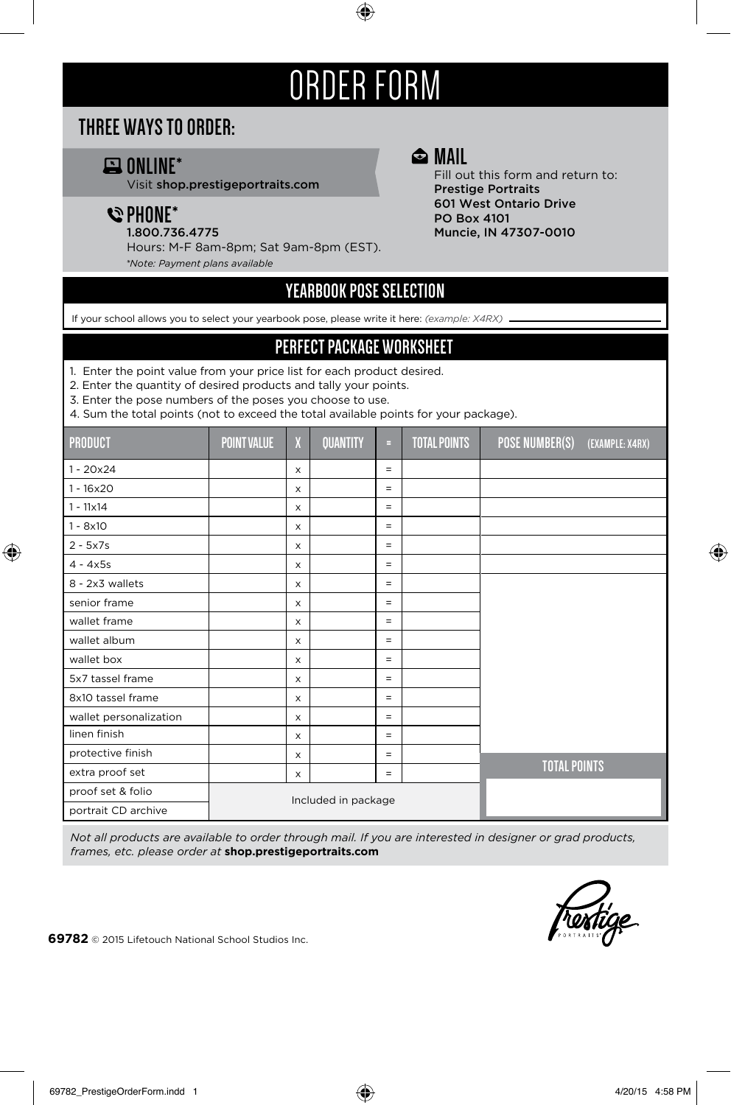# ORDER FORM

## **THREE WAYS TO ORDER:**

# **ONLINE\***

Visit shop.prestigeportraits.com

## **PHONE\***

1.800.736.4775

Hours: M-F 8am-8pm; Sat 9am-8pm (EST).

*\*Note: Payment plans available*

### **MAIL**

Fill out this form and return to: Prestige Portraits 601 West Ontario Drive PO Box 4101 Muncie, IN 47307-0010

## **YEARBOOK POSE SELECTION**

If your school allows you to select your yearbook pose, please write it here: *(example: X4RX)*

#### **PERFECT PACKAGE WORKSHEET**

1. Enter the point value from your price list for each product desired.

2. Enter the quantity of desired products and tally your points.

3. Enter the pose numbers of the poses you choose to use.

4. Sum the total points (not to exceed the total available points for your package).

| <b>PRODUCT</b>         | <b>POINT VALUE</b>  | X            | <b>QUANTITY</b> | н        | <b>TOTAL POINTS</b> | POSE NUMBER(S)      | (EXAMPLE: X4RX) |
|------------------------|---------------------|--------------|-----------------|----------|---------------------|---------------------|-----------------|
| $1 - 20x24$            |                     | $\mathsf{x}$ |                 | $=$      |                     |                     |                 |
| $1 - 16 \times 20$     |                     | X            |                 | $=$      |                     |                     |                 |
| $1 - 11 \times 14$     |                     | X            |                 | $=$      |                     |                     |                 |
| $1 - 8x10$             |                     | X            |                 | $=$      |                     |                     |                 |
| $2 - 5x7s$             |                     | X            |                 | $=$      |                     |                     |                 |
| $4 - 4x5s$             |                     | X            |                 | Ξ        |                     |                     |                 |
| 8 - 2x3 wallets        |                     | X            |                 | $\equiv$ |                     |                     |                 |
| senior frame           |                     | X            |                 | Ξ        |                     |                     |                 |
| wallet frame           |                     | X            |                 | $=$      |                     |                     |                 |
| wallet album           |                     | X            |                 | $=$      |                     |                     |                 |
| wallet box             |                     | X            |                 | Ξ        |                     |                     |                 |
| 5x7 tassel frame       |                     | X            |                 | Ξ        |                     |                     |                 |
| 8x10 tassel frame      |                     | X            |                 | $=$      |                     |                     |                 |
| wallet personalization |                     | X            |                 | $=$      |                     |                     |                 |
| linen finish           |                     | X            |                 | Ξ        |                     |                     |                 |
| protective finish      |                     | X            |                 | $=$      |                     |                     |                 |
| extra proof set        |                     | X            |                 | Ξ        |                     | <b>TOTAL POINTS</b> |                 |
| proof set & folio      |                     |              |                 |          |                     |                     |                 |
| portrait CD archive    | Included in package |              |                 |          |                     |                     |                 |

*Not all products are available to order through mail. If you are interested in designer or grad products, frames, etc. please order at* **shop.prestigeportraits.com**



**69782** © 2015 Lifetouch National School Studios Inc.